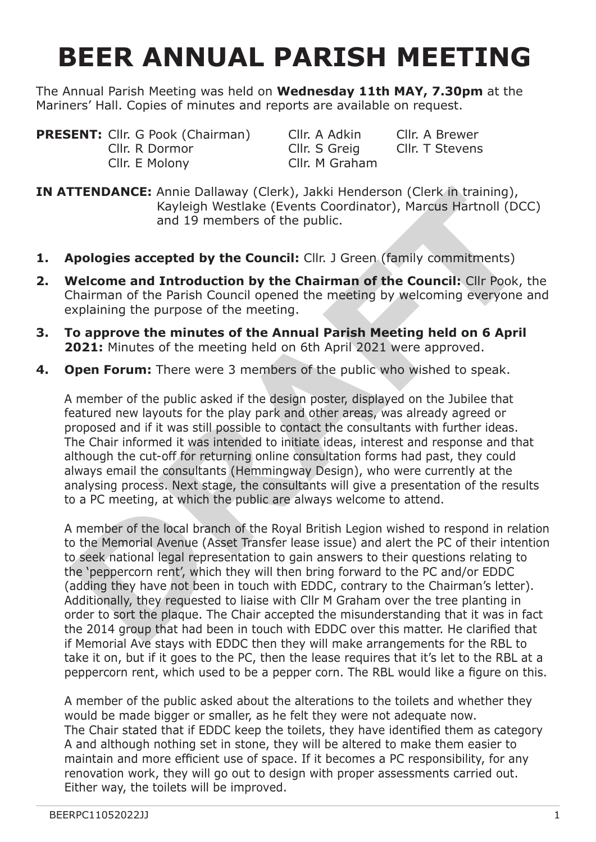## **BEER ANNUAL PARISH MEETING**

The Annual Parish Meeting was held on **Wednesday 11th MAY, 7.30pm** at the Mariners' Hall. Copies of minutes and reports are available on request.

**PRESENT:** Cllr. G Pook (Chairman) Cllr. A Adkin Cllr. A Brewer<br>Cllr. R Dormor Cllr. S Greig Cllr. T Stevens Cllr. R Dormor Cllr. S Greig Cllr. E Molony Cllr. M Graham

**IN ATTENDANCE:** Annie Dallaway (Clerk), Jakki Henderson (Clerk in training), Kayleigh Westlake (Events Coordinator), Marcus Hartnoll (DCC) and 19 members of the public.

- **1. Apologies accepted by the Council:** Cllr. J Green (family commitments)
- **2. Welcome and Introduction by the Chairman of the Council:** Cllr Pook, the Chairman of the Parish Council opened the meeting by welcoming everyone and explaining the purpose of the meeting.
- **3. To approve the minutes of the Annual Parish Meeting held on 6 April 2021:** Minutes of the meeting held on 6th April 2021 were approved.
- **4. Open Forum:** There were 3 members of the public who wished to speak.

A member of the public asked if the design poster, displayed on the Jubilee that featured new layouts for the play park and other areas, was already agreed or proposed and if it was still possible to contact the consultants with further ideas. The Chair informed it was intended to initiate ideas, interest and response and that although the cut-off for returning online consultation forms had past, they could always email the consultants (Hemmingway Design), who were currently at the analysing process. Next stage, the consultants will give a presentation of the results to a PC meeting, at which the public are always welcome to attend.

A member of the local branch of the Royal British Legion wished to respond in relation to the Memorial Avenue (Asset Transfer lease issue) and alert the PC of their intention to seek national legal representation to gain answers to their questions relating to the 'peppercorn rent', which they will then bring forward to the PC and/or EDDC (adding they have not been in touch with EDDC, contrary to the Chairman's letter). Additionally, they requested to liaise with Cllr M Graham over the tree planting in order to sort the plaque. The Chair accepted the misunderstanding that it was in fact the 2014 group that had been in touch with EDDC over this matter. He clarified that if Memorial Ave stays with EDDC then they will make arrangements for the RBL to take it on, but if it goes to the PC, then the lease requires that it's let to the RBL at a peppercorn rent, which used to be a pepper corn. The RBL would like a figure on this. **EXERCT:** Annie Dallaway (Clerk), Jakki Henderson (Clerk in training),<br>
Kayleigh Westlake (Events Coordinator), Marcus Hartnoll (DCC<br>
and 19 members of the public.<br> **Apologies accepted by the Council:** Cllr. J Green (famil

A member of the public asked about the alterations to the toilets and whether they would be made bigger or smaller, as he felt they were not adequate now. The Chair stated that if EDDC keep the toilets, they have identified them as category A and although nothing set in stone, they will be altered to make them easier to maintain and more efficient use of space. If it becomes a PC responsibility, for any renovation work, they will go out to design with proper assessments carried out. Either way, the toilets will be improved.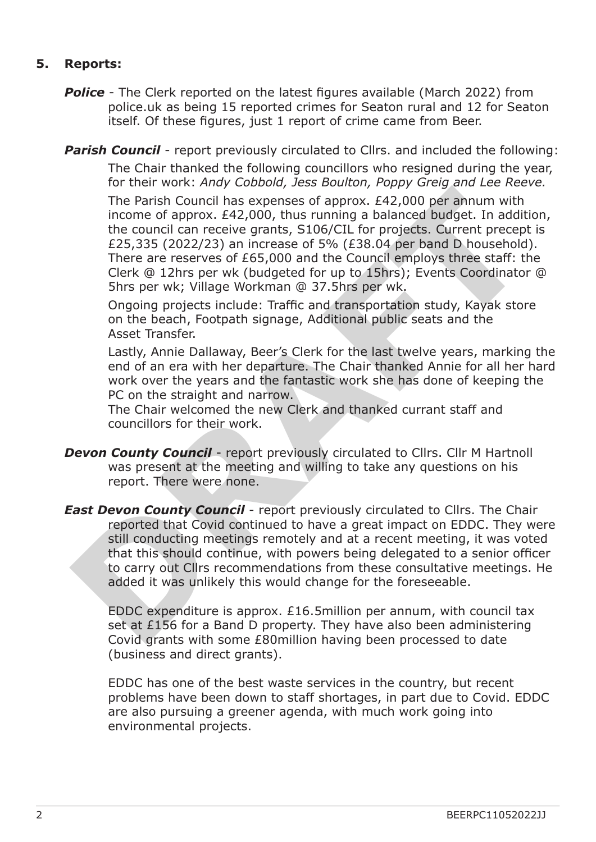## **5. Reports:**

**Police** - The Clerk reported on the latest figures available (March 2022) from police.uk as being 15 reported crimes for Seaton rural and 12 for Seaton itself. Of these figures, just 1 report of crime came from Beer.

**Parish Council** - report previously circulated to Cllrs. and included the following: The Chair thanked the following councillors who resigned during the year, for their work: *Andy Cobbold, Jess Boulton, Poppy Greig and Lee Reeve.*

 The Parish Council has expenses of approx. £42,000 per annum with income of approx. £42,000, thus running a balanced budget. In addition, the council can receive grants, S106/CIL for projects. Current precept is £25,335 (2022/23) an increase of 5% (£38.04 per band D household). There are reserves of £65,000 and the Council employs three staff: the Clerk @ 12hrs per wk (budgeted for up to 15hrs); Events Coordinator @ 5hrs per wk; Village Workman @ 37.5hrs per wk. The Parish Council has expenses of approx. *E42*,000 per annum with<br>incone of approx. *E42*,000, thus running a balanced budget. In addit<br>the council can receive grants, S106/CIL for projects. Current precept<br>*E25*,335 (20

 Ongoing projects include: Traffic and transportation study, Kayak store on the beach, Footpath signage, Additional public seats and the Asset Transfer.

 Lastly, Annie Dallaway, Beer's Clerk for the last twelve years, marking the end of an era with her departure. The Chair thanked Annie for all her hard work over the years and the fantastic work she has done of keeping the PC on the straight and narrow.

 The Chair welcomed the new Clerk and thanked currant staff and councillors for their work.

- **Devon County Council** report previously circulated to Cllrs. Cllr M Hartnoll was present at the meeting and willing to take any questions on his report. There were none.
- *East Devon County Council* report previously circulated to Cllrs. The Chair reported that Covid continued to have a great impact on EDDC. They were still conducting meetings remotely and at a recent meeting, it was voted that this should continue, with powers being delegated to a senior officer to carry out Cllrs recommendations from these consultative meetings. He added it was unlikely this would change for the foreseeable.

 EDDC expenditure is approx. £16.5million per annum, with council tax set at £156 for a Band D property. They have also been administering Covid grants with some £80million having been processed to date (business and direct grants).

 EDDC has one of the best waste services in the country, but recent problems have been down to staff shortages, in part due to Covid. EDDC are also pursuing a greener agenda, with much work going into environmental projects.